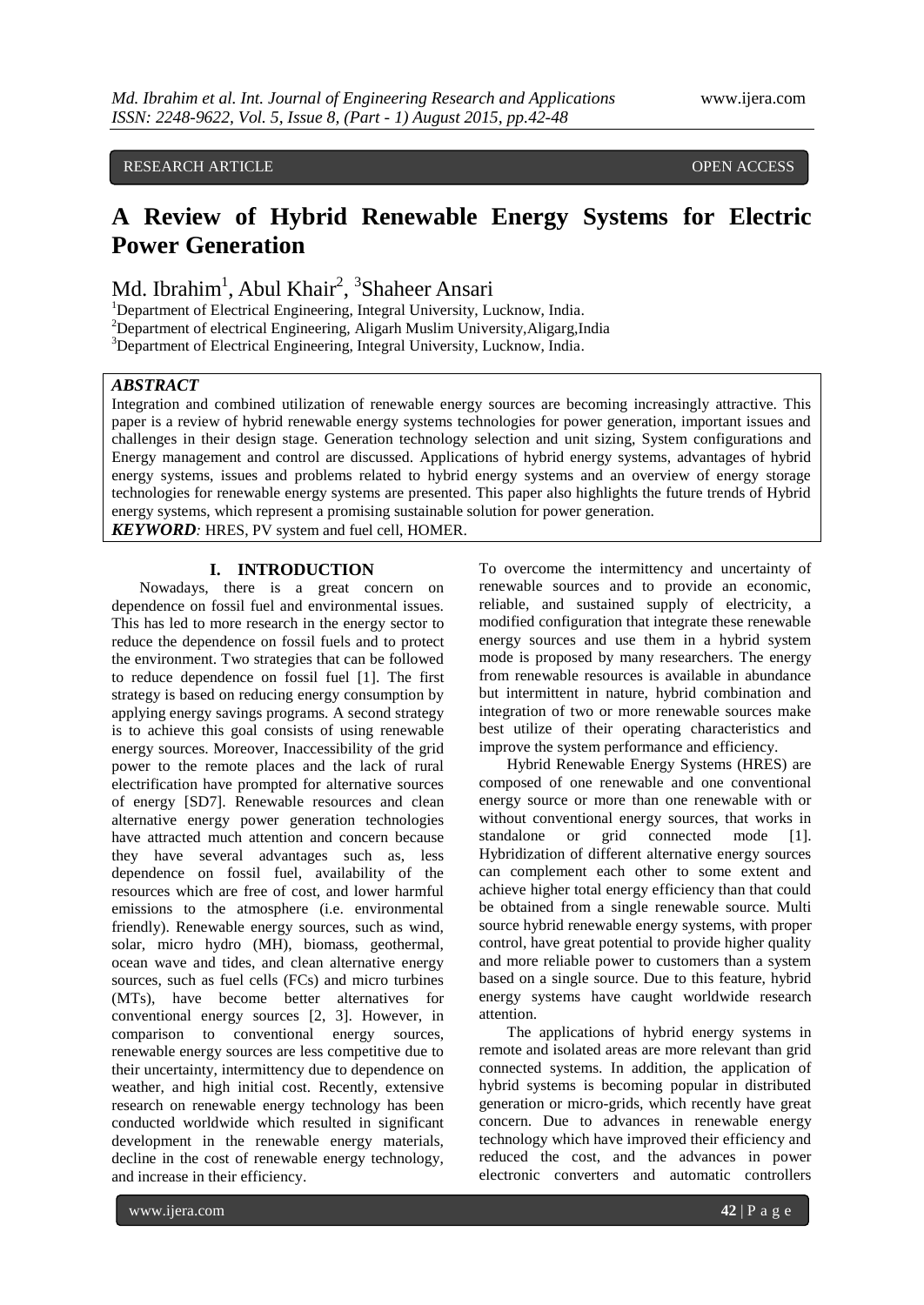# RESEARCH ARTICLE **CONSERVERS** OPEN ACCESS **OPEN ACCESS**

# **A Review of Hybrid Renewable Energy Systems for Electric Power Generation**

Md. Ibrahim<sup>1</sup>, Abul Khair<sup>2</sup>, <sup>3</sup>Shaheer Ansari

<sup>1</sup>Department of Electrical Engineering, Integral University, Lucknow, India.

<sup>2</sup>Department of electrical Engineering, Aligarh Muslim University, Aligarg, India

<sup>3</sup>Department of Electrical Engineering, Integral University, Lucknow, India.

## *ABSTRACT*

Integration and combined utilization of renewable energy sources are becoming increasingly attractive. This paper is a review of hybrid renewable energy systems technologies for power generation, important issues and challenges in their design stage. Generation technology selection and unit sizing, System configurations and Energy management and control are discussed. Applications of hybrid energy systems, advantages of hybrid energy systems, issues and problems related to hybrid energy systems and an overview of energy storage technologies for renewable energy systems are presented. This paper also highlights the future trends of Hybrid energy systems, which represent a promising sustainable solution for power generation.

*KEYWORD:* HRES, PV system and fuel cell, HOMER.

## **I. INTRODUCTION**

Nowadays, there is a great concern on dependence on fossil fuel and environmental issues. This has led to more research in the energy sector to reduce the dependence on fossil fuels and to protect the environment. Two strategies that can be followed to reduce dependence on fossil fuel [1]. The first strategy is based on reducing energy consumption by applying energy savings programs. A second strategy is to achieve this goal consists of using renewable energy sources. Moreover, Inaccessibility of the grid power to the remote places and the lack of rural electrification have prompted for alternative sources of energy [SD7]. Renewable resources and clean alternative energy power generation technologies have attracted much attention and concern because they have several advantages such as, less dependence on fossil fuel, availability of the resources which are free of cost, and lower harmful emissions to the atmosphere (i.e. environmental friendly). Renewable energy sources, such as wind, solar, micro hydro (MH), biomass, geothermal, ocean wave and tides, and clean alternative energy sources, such as fuel cells (FCs) and micro turbines (MTs), have become better alternatives for conventional energy sources [2, 3]. However, in comparison to conventional energy sources, renewable energy sources are less competitive due to their uncertainty, intermittency due to dependence on weather, and high initial cost. Recently, extensive research on renewable energy technology has been conducted worldwide which resulted in significant development in the renewable energy materials, decline in the cost of renewable energy technology, and increase in their efficiency.

To overcome the intermittency and uncertainty of renewable sources and to provide an economic, reliable, and sustained supply of electricity, a modified configuration that integrate these renewable energy sources and use them in a hybrid system mode is proposed by many researchers. The energy from renewable resources is available in abundance but intermittent in nature, hybrid combination and integration of two or more renewable sources make best utilize of their operating characteristics and improve the system performance and efficiency.

Hybrid Renewable Energy Systems (HRES) are composed of one renewable and one conventional energy source or more than one renewable with or without conventional energy sources, that works in standalone or grid connected mode [1]. Hybridization of different alternative energy sources can complement each other to some extent and achieve higher total energy efficiency than that could be obtained from a single renewable source. Multi source hybrid renewable energy systems, with proper control, have great potential to provide higher quality and more reliable power to customers than a system based on a single source. Due to this feature, hybrid energy systems have caught worldwide research attention.

The applications of hybrid energy systems in remote and isolated areas are more relevant than grid connected systems. In addition, the application of hybrid systems is becoming popular in distributed generation or micro-grids, which recently have great concern. Due to advances in renewable energy technology which have improved their efficiency and reduced the cost, and the advances in power electronic converters and automatic controllers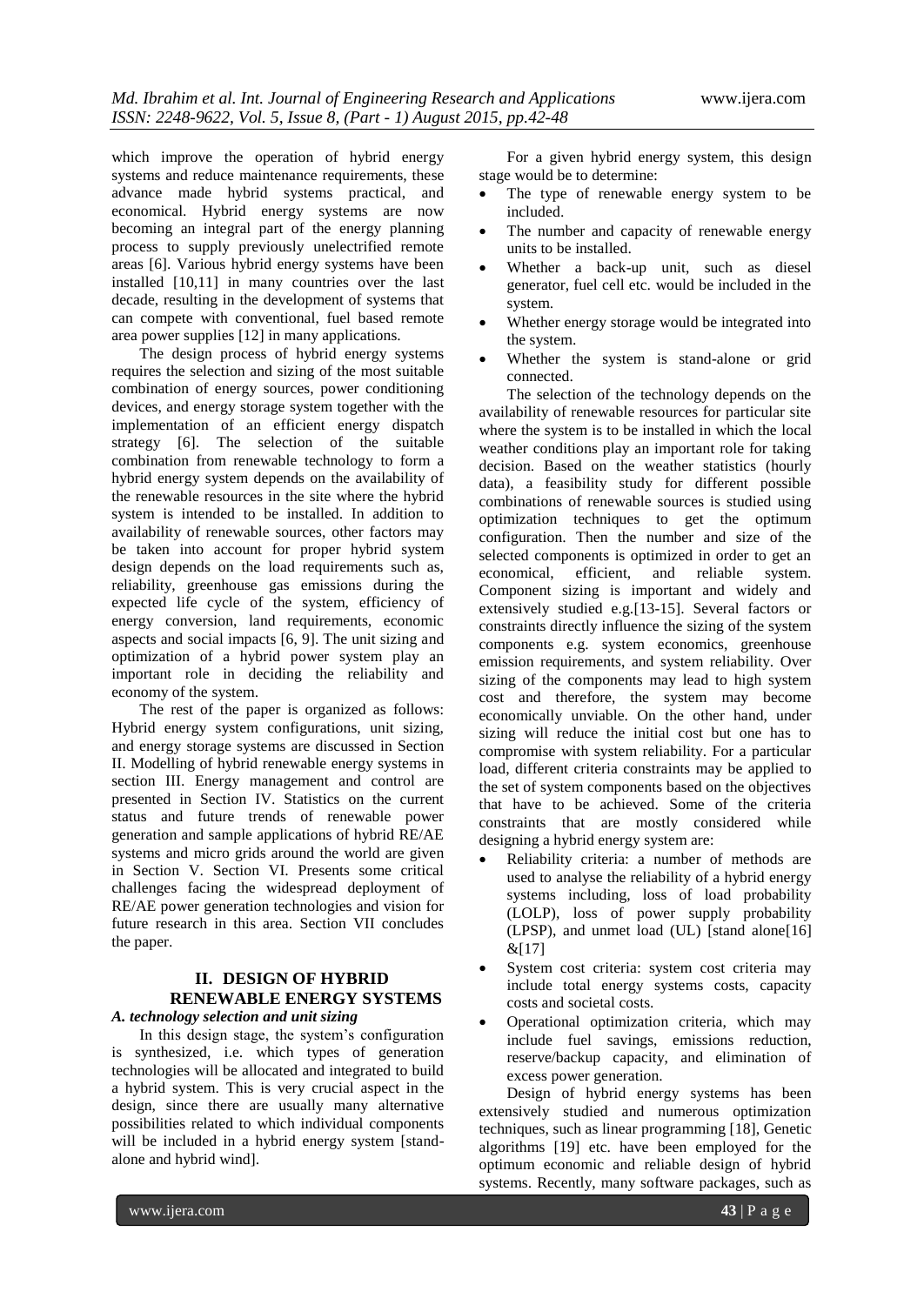which improve the operation of hybrid energy systems and reduce maintenance requirements, these advance made hybrid systems practical, and economical. Hybrid energy systems are now becoming an integral part of the energy planning process to supply previously unelectrified remote areas [6]. Various hybrid energy systems have been installed [10,11] in many countries over the last decade, resulting in the development of systems that can compete with conventional, fuel based remote area power supplies [12] in many applications.

The design process of hybrid energy systems requires the selection and sizing of the most suitable combination of energy sources, power conditioning devices, and energy storage system together with the implementation of an efficient energy dispatch strategy [6]. The selection of the suitable combination from renewable technology to form a hybrid energy system depends on the availability of the renewable resources in the site where the hybrid system is intended to be installed. In addition to availability of renewable sources, other factors may be taken into account for proper hybrid system design depends on the load requirements such as, reliability, greenhouse gas emissions during the expected life cycle of the system, efficiency of energy conversion, land requirements, economic aspects and social impacts [6, 9]. The unit sizing and optimization of a hybrid power system play an important role in deciding the reliability and economy of the system.

The rest of the paper is organized as follows: Hybrid energy system configurations, unit sizing, and energy storage systems are discussed in Section II. Modelling of hybrid renewable energy systems in section III. Energy management and control are presented in Section IV. Statistics on the current status and future trends of renewable power generation and sample applications of hybrid RE/AE systems and micro grids around the world are given in Section V. Section VI. Presents some critical challenges facing the widespread deployment of RE/AE power generation technologies and vision for future research in this area. Section VII concludes the paper.

## **II. DESIGN OF HYBRID RENEWABLE ENERGY SYSTEMS** *A. technology selection and unit sizing*

In this design stage, the system's configuration is synthesized, i.e. which types of generation technologies will be allocated and integrated to build a hybrid system. This is very crucial aspect in the design, since there are usually many alternative possibilities related to which individual components will be included in a hybrid energy system [standalone and hybrid wind].

For a given hybrid energy system, this design stage would be to determine:

- The type of renewable energy system to be included.
- The number and capacity of renewable energy units to be installed.
- Whether a back-up unit, such as diesel generator, fuel cell etc. would be included in the system.
- Whether energy storage would be integrated into the system.
- Whether the system is stand-alone or grid connected.

The selection of the technology depends on the availability of renewable resources for particular site where the system is to be installed in which the local weather conditions play an important role for taking decision. Based on the weather statistics (hourly data), a feasibility study for different possible combinations of renewable sources is studied using optimization techniques to get the optimum configuration. Then the number and size of the selected components is optimized in order to get an economical, efficient, and reliable system. Component sizing is important and widely and extensively studied e.g.[13-15]. Several factors or constraints directly influence the sizing of the system components e.g. system economics, greenhouse emission requirements, and system reliability. Over sizing of the components may lead to high system cost and therefore, the system may become economically unviable. On the other hand, under sizing will reduce the initial cost but one has to compromise with system reliability. For a particular load, different criteria constraints may be applied to the set of system components based on the objectives that have to be achieved. Some of the criteria constraints that are mostly considered while designing a hybrid energy system are:

- Reliability criteria: a number of methods are used to analyse the reliability of a hybrid energy systems including, loss of load probability (LOLP), loss of power supply probability (LPSP), and unmet load (UL) [stand alone[16]  $&[17]$
- System cost criteria: system cost criteria may include total energy systems costs, capacity costs and societal costs.
- Operational optimization criteria, which may include fuel savings, emissions reduction, reserve/backup capacity, and elimination of excess power generation.

Design of hybrid energy systems has been extensively studied and numerous optimization techniques, such as linear programming [18], Genetic algorithms [19] etc. have been employed for the optimum economic and reliable design of hybrid systems. Recently, many software packages, such as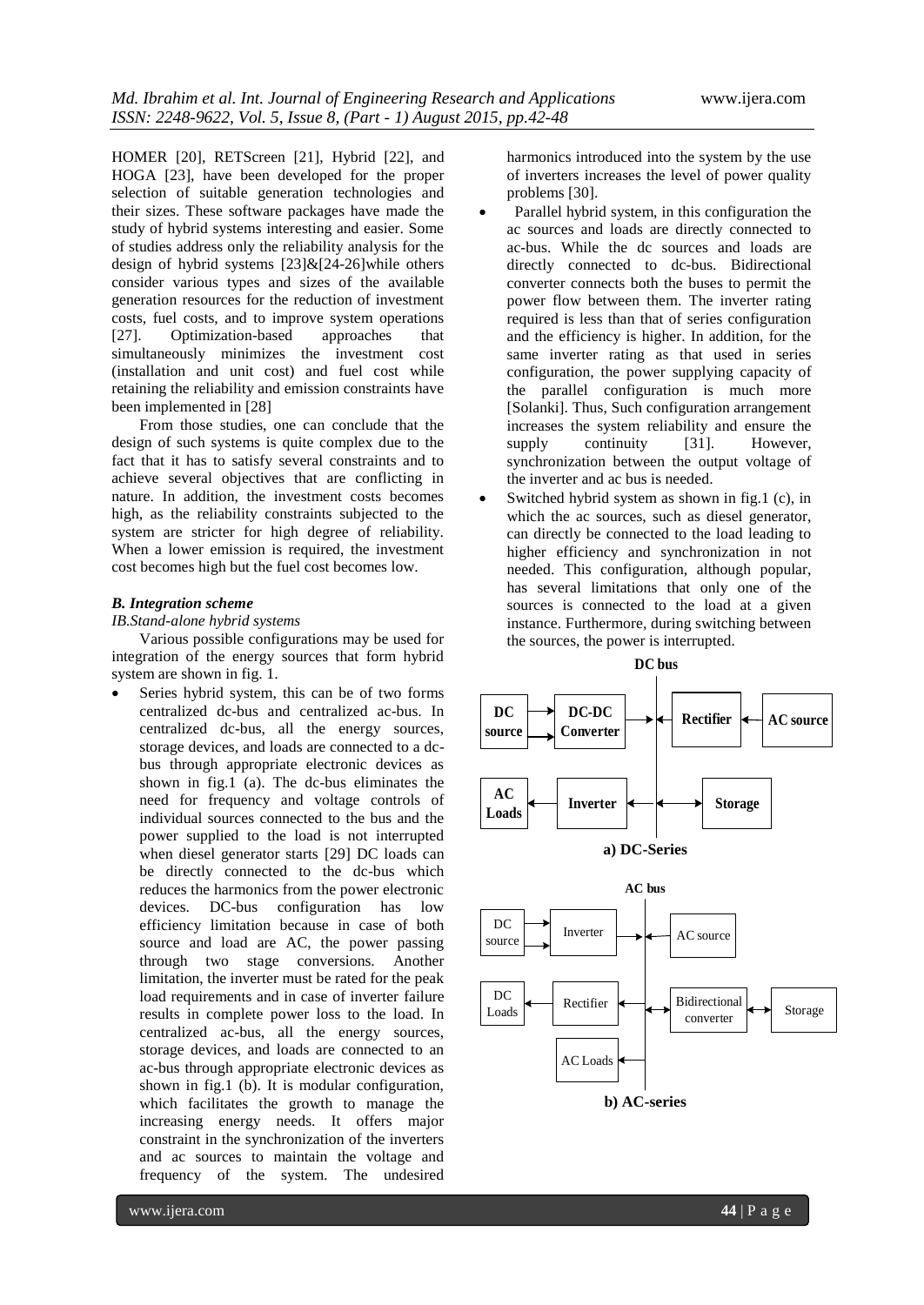HOMER [20], RETScreen [21], Hybrid [22], and HOGA [23], have been developed for the proper selection of suitable generation technologies and their sizes. These software packages have made the study of hybrid systems interesting and easier. Some of studies address only the reliability analysis for the design of hybrid systems [23]&[24-26]while others consider various types and sizes of the available generation resources for the reduction of investment costs, fuel costs, and to improve system operations [27]. Optimization-based approaches that simultaneously minimizes the investment cost (installation and unit cost) and fuel cost while retaining the reliability and emission constraints have been implemented in [28]

From those studies, one can conclude that the design of such systems is quite complex due to the fact that it has to satisfy several constraints and to achieve several objectives that are conflicting in nature. In addition, the investment costs becomes high, as the reliability constraints subjected to the system are stricter for high degree of reliability. When a lower emission is required, the investment cost becomes high but the fuel cost becomes low.

#### *B. Integration scheme*

#### *IB.Stand-alone hybrid systems*

Various possible configurations may be used for integration of the energy sources that form hybrid system are shown in fig. 1.

 Series hybrid system, this can be of two forms centralized dc-bus and centralized ac-bus. In centralized dc-bus, all the energy sources, storage devices, and loads are connected to a dcbus through appropriate electronic devices as shown in fig.1 (a). The dc-bus eliminates the need for frequency and voltage controls of individual sources connected to the bus and the power supplied to the load is not interrupted when diesel generator starts [29] DC loads can be directly connected to the dc-bus which reduces the harmonics from the power electronic devices. DC-bus configuration has low efficiency limitation because in case of both source and load are AC, the power passing through two stage conversions. Another limitation, the inverter must be rated for the peak load requirements and in case of inverter failure results in complete power loss to the load. In centralized ac-bus, all the energy sources, storage devices, and loads are connected to an ac-bus through appropriate electronic devices as shown in fig.1 (b). It is modular configuration, which facilitates the growth to manage the increasing energy needs. It offers major constraint in the synchronization of the inverters and ac sources to maintain the voltage and frequency of the system. The undesired

harmonics introduced into the system by the use of inverters increases the level of power quality problems [30].

- Parallel hybrid system, in this configuration the ac sources and loads are directly connected to ac-bus. While the dc sources and loads are directly connected to dc-bus. Bidirectional converter connects both the buses to permit the power flow between them. The inverter rating required is less than that of series configuration and the efficiency is higher. In addition, for the same inverter rating as that used in series configuration, the power supplying capacity of the parallel configuration is much more [Solanki]. Thus, Such configuration arrangement increases the system reliability and ensure the supply continuity [31]. However, synchronization between the output voltage of the inverter and ac bus is needed.
- Switched hybrid system as shown in fig.1 (c), in which the ac sources, such as diesel generator, can directly be connected to the load leading to higher efficiency and synchronization in not needed. This configuration, although popular, has several limitations that only one of the sources is connected to the load at a given instance. Furthermore, during switching between the sources, the power is interrupted.

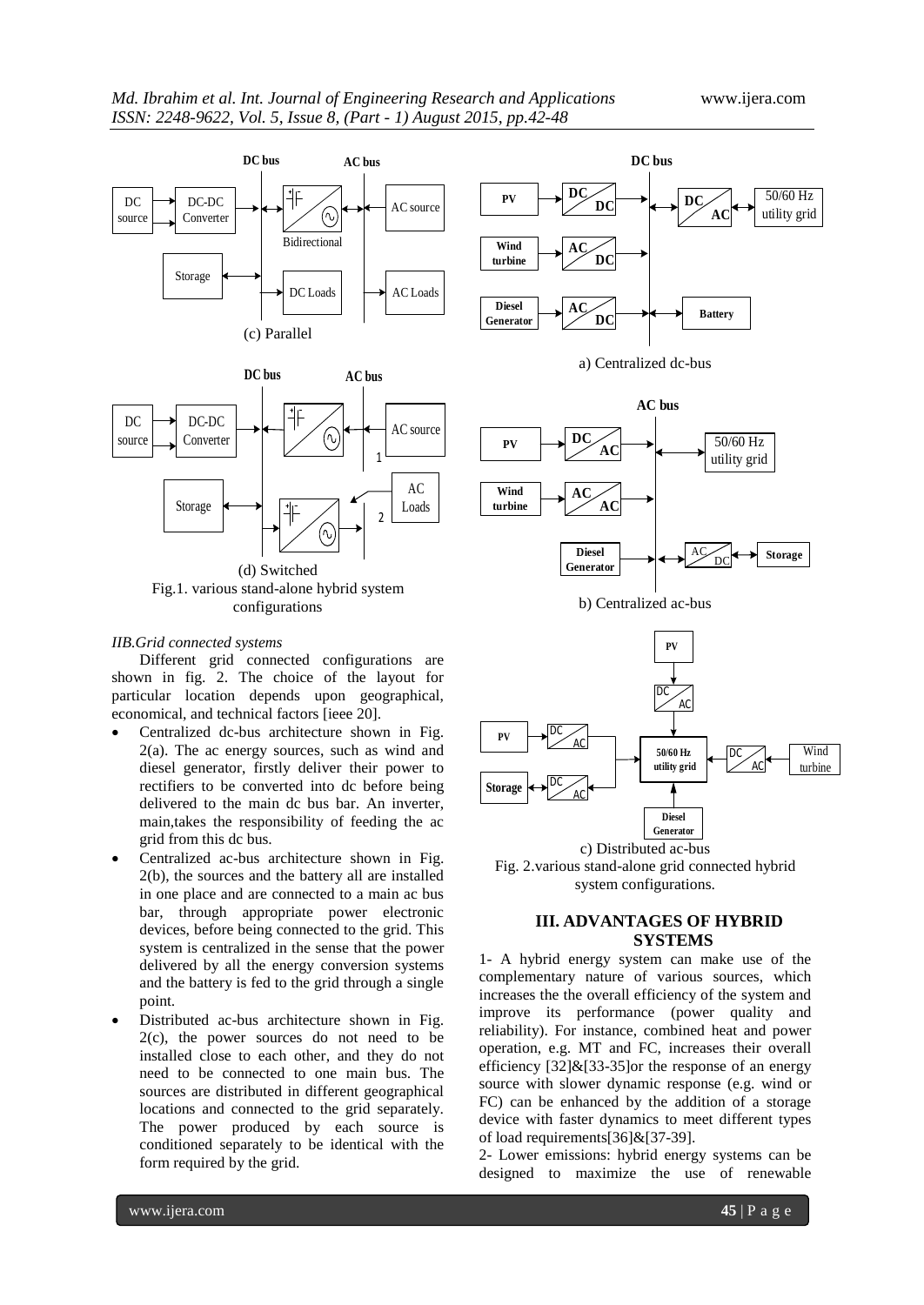







### *IIB.Grid connected systems*

Different grid connected configurations are shown in fig. 2. The choice of the layout for particular location depends upon geographical, economical, and technical factors [ieee 20].

- Centralized dc-bus architecture shown in Fig. 2(a). The ac energy sources, such as wind and diesel generator, firstly deliver their power to rectifiers to be converted into dc before being delivered to the main dc bus bar. An inverter, main,takes the responsibility of feeding the ac grid from this dc bus.
- Centralized ac-bus architecture shown in Fig. 2(b), the sources and the battery all are installed in one place and are connected to a main ac bus bar, through appropriate power electronic devices, before being connected to the grid. This system is centralized in the sense that the power delivered by all the energy conversion systems and the battery is fed to the grid through a single point.
- Distributed ac-bus architecture shown in Fig. 2(c), the power sources do not need to be installed close to each other, and they do not need to be connected to one main bus. The sources are distributed in different geographical locations and connected to the grid separately. The power produced by each source is conditioned separately to be identical with the form required by the grid.









c) Distributed ac-bus Fig. 2.various stand-alone grid connected hybrid system configurations.

# **III. ADVANTAGES OF HYBRID SYSTEMS**

1- A hybrid energy system can make use of the complementary nature of various sources, which increases the the overall efficiency of the system and improve its performance (power quality and reliability). For instance, combined heat and power operation, e.g. MT and FC, increases their overall efficiency  $[32]\&[33-35]$ or the response of an energy source with slower dynamic response (e.g. wind or FC) can be enhanced by the addition of a storage device with faster dynamics to meet different types of load requirements[36]&[37-39].

2- Lower emissions: hybrid energy systems can be designed to maximize the use of renewable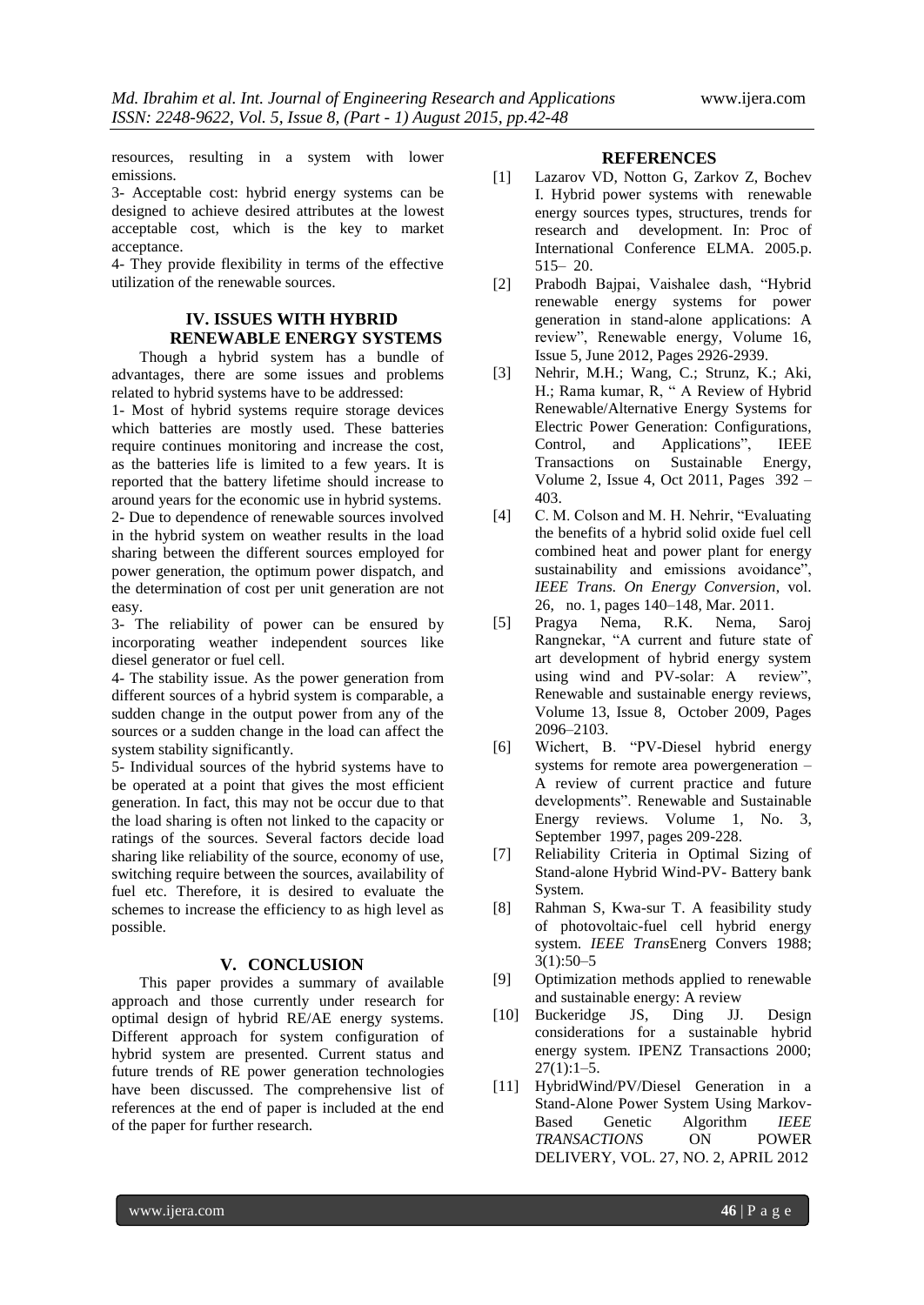resources, resulting in a system with lower emissions.

3- Acceptable cost: hybrid energy systems can be designed to achieve desired attributes at the lowest acceptable cost, which is the key to market acceptance.

4- They provide flexibility in terms of the effective utilization of the renewable sources.

# **IV. ISSUES WITH HYBRID RENEWABLE ENERGY SYSTEMS**

Though a hybrid system has a bundle of advantages, there are some issues and problems related to hybrid systems have to be addressed:

1- Most of hybrid systems require storage devices which batteries are mostly used. These batteries require continues monitoring and increase the cost, as the batteries life is limited to a few years. It is reported that the battery lifetime should increase to around years for the economic use in hybrid systems. 2- Due to dependence of renewable sources involved in the hybrid system on weather results in the load sharing between the different sources employed for power generation, the optimum power dispatch, and the determination of cost per unit generation are not easy.

3- The reliability of power can be ensured by incorporating weather independent sources like diesel generator or fuel cell.

4- The stability issue. As the power generation from different sources of a hybrid system is comparable, a sudden change in the output power from any of the sources or a sudden change in the load can affect the system stability significantly.

5- Individual sources of the hybrid systems have to be operated at a point that gives the most efficient generation. In fact, this may not be occur due to that the load sharing is often not linked to the capacity or ratings of the sources. Several factors decide load sharing like reliability of the source, economy of use, switching require between the sources, availability of fuel etc. Therefore, it is desired to evaluate the schemes to increase the efficiency to as high level as possible.

## **V. CONCLUSION**

This paper provides a summary of available approach and those currently under research for optimal design of hybrid RE/AE energy systems. Different approach for system configuration of hybrid system are presented. Current status and future trends of RE power generation technologies have been discussed. The comprehensive list of references at the end of paper is included at the end of the paper for further research.

#### **REFERENCES**

- [1] Lazarov VD, Notton G, Zarkov Z, Bochev I. Hybrid power systems with renewable energy sources types, structures, trends for research and development. In: Proc of International Conference ELMA. 2005.p. 515– 20.
- [2] Prabodh Bajpai, Vaishalee dash, "Hybrid renewable energy systems for power generation in stand-alone applications: A review", Renewable energy, Volume 16, Issue 5, June 2012, Pages 2926-2939.
- [3] Nehrir, M.H.; Wang, C.; Strunz, K.; Aki, H.; Rama kumar, R, " A Review of Hybrid Renewable/Alternative Energy Systems for Electric Power Generation: Configurations, Control, and Applications", IEEE Transactions on Sustainable Energy, Volume 2, Issue 4, Oct 2011, Pages 392 – 403.
- [4] C. M. Colson and M. H. Nehrir, "Evaluating the benefits of a hybrid solid oxide fuel cell combined heat and power plant for energy sustainability and emissions avoidance", *IEEE Trans. On Energy Conversion*, vol. 26, no. 1, pages 140–148, Mar. 2011.
- [5] Pragya Nema, R.K. Nema, Saroj Rangnekar, "A current and future state of art development of hybrid energy system using wind and PV-solar: A review", Renewable and sustainable energy reviews, Volume 13, Issue 8, October 2009, Pages 2096–2103.
- [6] Wichert, B. "PV-Diesel hybrid energy systems for remote area powergeneration – A review of current practice and future developments". Renewable and Sustainable Energy reviews. Volume 1, No. 3, September 1997, pages 209-228.
- [7] Reliability Criteria in Optimal Sizing of Stand-alone Hybrid Wind-PV- Battery bank System.
- [8] Rahman S, Kwa-sur T. A feasibility study of photovoltaic-fuel cell hybrid energy system. *IEEE Trans*Energ Convers 1988; 3(1):50–5
- [9] Optimization methods applied to renewable and sustainable energy: A review
- [10] Buckeridge JS, Ding JJ. Design considerations for a sustainable hybrid energy system. IPENZ Transactions 2000;  $27(1):1-5.$
- [11] HybridWind/PV/Diesel Generation in a Stand-Alone Power System Using Markov-Based Genetic Algorithm *IEEE TRANSACTIONS* ON POWER DELIVERY, VOL. 27, NO. 2, APRIL 2012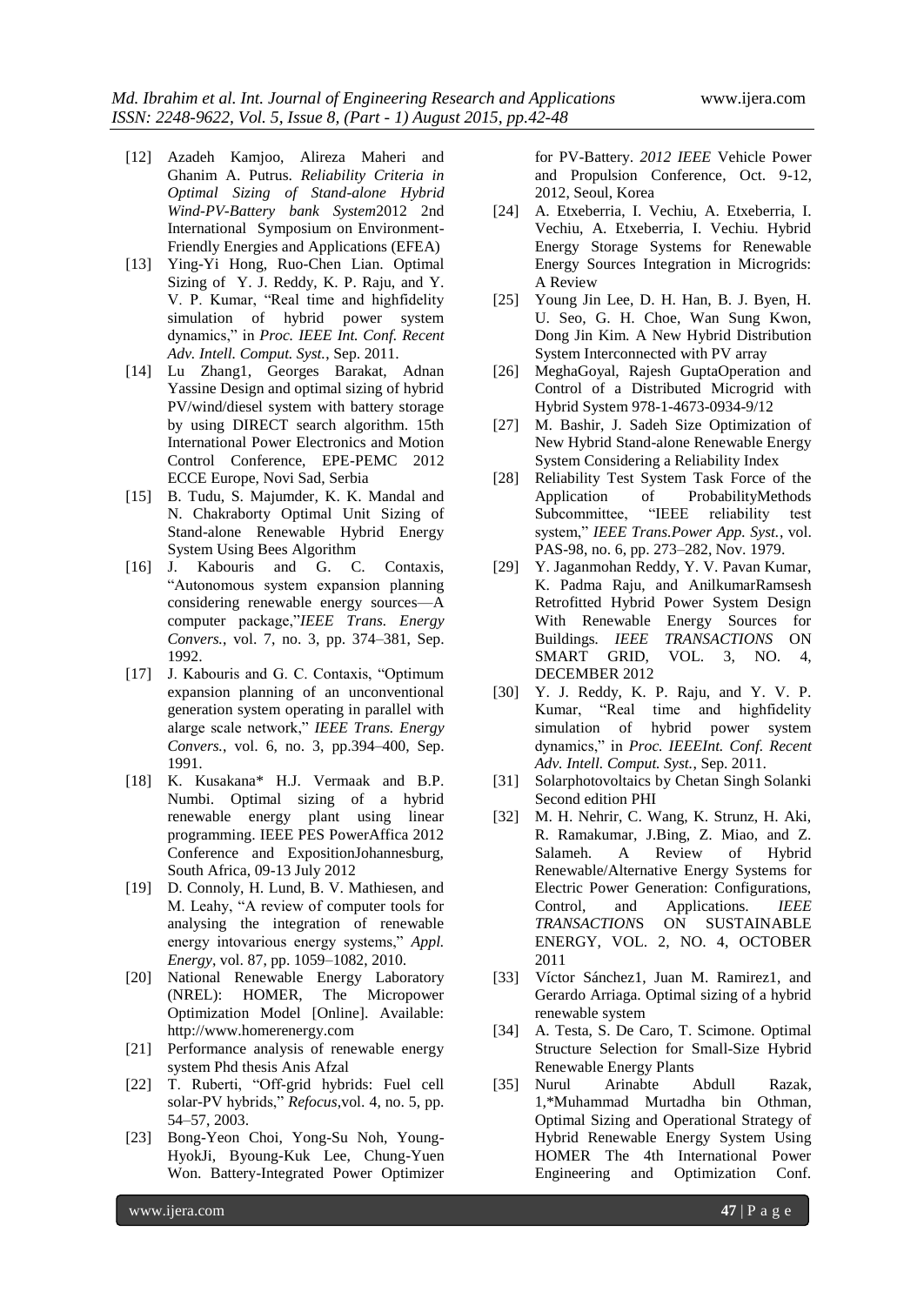- [12] Azadeh Kamjoo, Alireza Maheri and Ghanim A. Putrus. *Reliability Criteria in Optimal Sizing of Stand-alone Hybrid Wind-PV-Battery bank System*2012 2nd International Symposium on Environment-Friendly Energies and Applications (EFEA)
- [13] Ying-Yi Hong, Ruo-Chen Lian. Optimal Sizing of Y. J. Reddy, K. P. Raju, and Y. V. P. Kumar, "Real time and highfidelity simulation of hybrid power system dynamics,‖ in *Proc. IEEE Int. Conf. Recent Adv. Intell. Comput. Syst.*, Sep. 2011.
- [14] Lu Zhang1, Georges Barakat, Adnan Yassine Design and optimal sizing of hybrid PV/wind/diesel system with battery storage by using DIRECT search algorithm. 15th International Power Electronics and Motion Control Conference, EPE-PEMC 2012 ECCE Europe, Novi Sad, Serbia
- [15] B. Tudu, S. Majumder*,* K. K. Mandal and N. Chakraborty Optimal Unit Sizing of Stand-alone Renewable Hybrid Energy System Using Bees Algorithm
- [16] J. Kabouris and G. C. Contaxis, ―Autonomous system expansion planning considering renewable energy sources—A computer package,"*IEEE Trans. Energy Convers.*, vol. 7, no. 3, pp. 374–381, Sep. 1992.
- [17] J. Kabouris and G. C. Contaxis, "Optimum" expansion planning of an unconventional generation system operating in parallel with alarge scale network,‖ *IEEE Trans. Energy Convers.*, vol. 6, no. 3, pp.394–400, Sep. 1991.
- [18] K. Kusakana\* H.J. Vermaak and B.P. Numbi. Optimal sizing of a hybrid renewable energy plant using linear programming. IEEE PES PowerAffica 2012 Conference and ExpositionJohannesburg, South Africa, 09-13 July 2012
- [19] D. Connoly, H. Lund, B. V. Mathiesen, and M. Leahy, "A review of computer tools for analysing the integration of renewable energy intovarious energy systems," *Appl. Energy*, vol. 87, pp. 1059–1082, 2010.
- [20] National Renewable Energy Laboratory (NREL): HOMER, The Micropower Optimization Model [Online]. Available: http://www.homerenergy.com
- [21] Performance analysis of renewable energy system Phd thesis Anis Afzal
- [22] T. Ruberti, "Off-grid hybrids: Fuel cell solar-PV hybrids," Refocus, vol. 4, no. 5, pp. 54–57, 2003.
- [23] Bong-Yeon Choi, Yong-Su Noh, Young-HyokJi, Byoung-Kuk Lee, Chung-Yuen Won. Battery-Integrated Power Optimizer

for PV-Battery. *2012 IEEE* Vehicle Power and Propulsion Conference, Oct. 9-12, 2012, Seoul, Korea

- [24] A. Etxeberria, I. Vechiu, A. Etxeberria, I. Vechiu, A. Etxeberria, I. Vechiu. Hybrid Energy Storage Systems for Renewable Energy Sources Integration in Microgrids: A Review
- [25] Young Jin Lee, D. H. Han, B. J. Byen, H. U. Seo, G. H. Choe, Wan Sung Kwon, Dong Jin Kim. A New Hybrid Distribution System Interconnected with PV array
- [26] MeghaGoyal, Rajesh GuptaOperation and Control of a Distributed Microgrid with Hybrid System 978-1-4673-0934-9/12
- [27] M. Bashir, J. Sadeh Size Optimization of New Hybrid Stand-alone Renewable Energy System Considering a Reliability Index
- [28] Reliability Test System Task Force of the Application of ProbabilityMethods Subcommittee, "IEEE reliability test system," IEEE Trans.Power App. Syst., vol. PAS-98, no. 6, pp. 273–282, Nov. 1979.
- [29] Y. Jaganmohan Reddy, Y. V. Pavan Kumar, K. Padma Raju, and AnilkumarRamsesh Retrofitted Hybrid Power System Design With Renewable Energy Sources for Buildings*. IEEE TRANSACTIONS* ON SMART GRID, VOL. 3, NO. 4, DECEMBER 2012
- [30] Y. J. Reddy, K. P. Raju, and Y. V. P. Kumar, "Real time and highfidelity simulation of hybrid power system dynamics," in *Proc. IEEEInt. Conf. Recent Adv. Intell. Comput. Syst.*, Sep. 2011.
- [31] Solarphotovoltaics by Chetan Singh Solanki Second edition PHI
- [32] M. H. Nehrir, C. Wang, K. Strunz, H. Aki, R. Ramakumar, J.Bing, Z. Miao, and Z. Salameh. A Review of Hybrid Renewable/Alternative Energy Systems for Electric Power Generation: Configurations, Control, and Applications. *IEEE TRANSACTION*S ON SUSTAINABLE ENERGY, VOL. 2, NO. 4, OCTOBER 2011
- [33] Víctor Sánchez1, Juan M. Ramirez1, and Gerardo Arriaga. Optimal sizing of a hybrid renewable system
- [34] A. Testa, S. De Caro, T. Scimone. Optimal Structure Selection for Small-Size Hybrid Renewable Energy Plants
- [35] Nurul Arinabte Abdull Razak, 1,\*Muhammad Murtadha bin Othman*,* Optimal Sizing and Operational Strategy of Hybrid Renewable Energy System Using HOMER The 4th International Power Engineering and Optimization Conf.